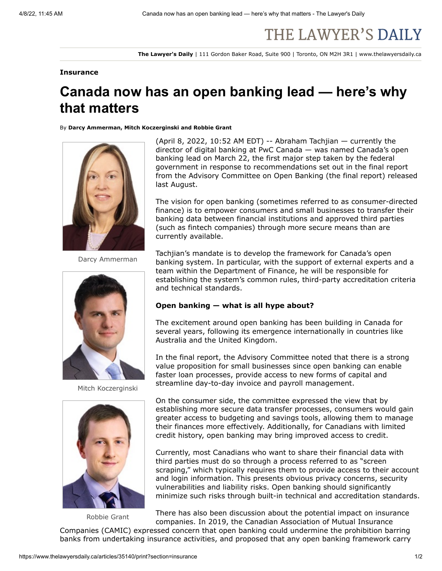# THE LAWYER'S DAILY

**The Lawyer's Daily** | 111 Gordon Baker Road, Suite 900 | Toronto, ON M2H 3R1 | www.thelawyersdaily.ca

### **Insurance**

# **Canada now has an open banking lead — here's why that matters**

#### By **Darcy Ammerman, Mitch Koczerginski and Robbie Grant**



Darcy Ammerman



Mitch Koczerginski



Robbie Grant

(April 8, 2022, 10:52 AM EDT) -- Abraham Tachjian — currently the director of digital banking at PwC Canada — was [named](https://www.canada.ca/en/department-finance/news/2022/03/government-moves-forward-with-open-banking-and-names-a-lead.html) Canada's open banking lead on March 22, the first major step taken by the federal government in response to recommendations set out in the [final report](https://www.canada.ca/en/department-finance/programs/consultations/2021/final-report-advisory-committee-open-banking.html) from the Advisory Committee on Open Banking (the final report) released last August.

The vision for open banking (sometimes referred to as consumer-directed finance) is to empower consumers and small businesses to transfer their banking data between financial institutions and approved third parties (such as fintech companies) through more secure means than are currently available.

Tachjian's mandate is to develop the framework for Canada's open banking system. In particular, with the support of external experts and a team within the Department of Finance, he will be responsible for establishing the system's common rules, third-party accreditation criteria and technical standards.

## **Open banking — what is all hype about?**

The excitement around open banking has been building in Canada for several years, following its emergence internationally in countries like Australia and the United Kingdom.

In the final report, the Advisory Committee noted that there is a strong value proposition for small businesses since open banking can enable faster loan processes, provide access to new forms of capital and streamline day-to-day invoice and payroll management.

On the consumer side, the committee expressed the view that by establishing more secure data transfer processes, consumers would gain greater access to budgeting and savings tools, allowing them to manage their finances more effectively. Additionally, for Canadians with limited credit history, open banking may bring improved access to credit.

Currently, most Canadians who want to share their financial data with third parties must do so through a process referred to as "screen scraping," which typically requires them to provide access to their account and login information. This presents obvious privacy concerns, security vulnerabilities and liability risks. Open banking should significantly minimize such risks through built-in technical and accreditation standards.

There has also been discussion about the potential impact on insurance companies. In 2019, the Canadian Association of Mutual Insurance

Companies (CAMIC) [expressed](https://s3.amazonaws.com/tld-documents.llnassets.com/0035000/35140/camic%20response%20on%20open%20banking%20consultation.pdf) concern that open banking could undermine the prohibition barring banks from undertaking insurance activities, and proposed that any open banking framework carry